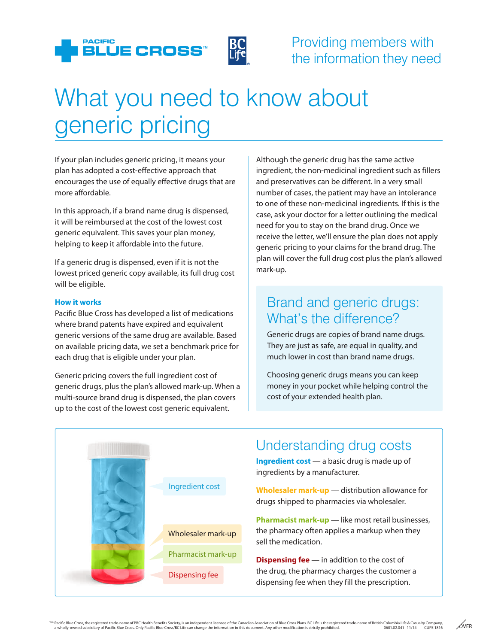

## What you need to know about generic pricing

If your plan includes generic pricing, it means your plan has adopted a cost-effective approach that encourages the use of equally effective drugs that are more affordable.

In this approach, if a brand name drug is dispensed, it will be reimbursed at the cost of the lowest cost generic equivalent. This saves your plan money, helping to keep it affordable into the future.

If a generic drug is dispensed, even if it is not the lowest priced generic copy available, its full drug cost will be eligible.

#### **How it works**

Pacific Blue Cross has developed a list of medications where brand patents have expired and equivalent generic versions of the same drug are available. Based on available pricing data, we set a benchmark price for each drug that is eligible under your plan.

Generic pricing covers the full ingredient cost of generic drugs, plus the plan's allowed mark-up. When a multi-source brand drug is dispensed, the plan covers up to the cost of the lowest cost generic equivalent.

Although the generic drug has the same active ingredient, the non-medicinal ingredient such as fillers and preservatives can be different. In a very small number of cases, the patient may have an intolerance to one of these non-medicinal ingredients. If this is the case, ask your doctor for a letter outlining the medical need for you to stay on the brand drug. Once we receive the letter, we'll ensure the plan does not apply generic pricing to your claims for the brand drug. The plan will cover the full drug cost plus the plan's allowed mark-up.

### Brand and generic drugs: What's the difference?

Generic drugs are copies of brand name drugs. They are just as safe, are equal in quality, and much lower in cost than brand name drugs.

Choosing generic drugs means you can keep money in your pocket while helping control the cost of your extended health plan.



## Understanding drug costs

**Ingredient cost** — a basic drug is made up of ingredients by a manufacturer.

**Wholesaler mark-up** — distribution allowance for drugs shipped to pharmacies via wholesaler.

**Pharmacist mark-up** — like most retail businesses, the pharmacy often applies a markup when they sell the medication.

**Dispensing fee** — in addition to the cost of the drug, the pharmacy charges the customer a Dispensing fee the drug, the pharmacy charges the customer<br>dispensing fee when they fill the prescription.